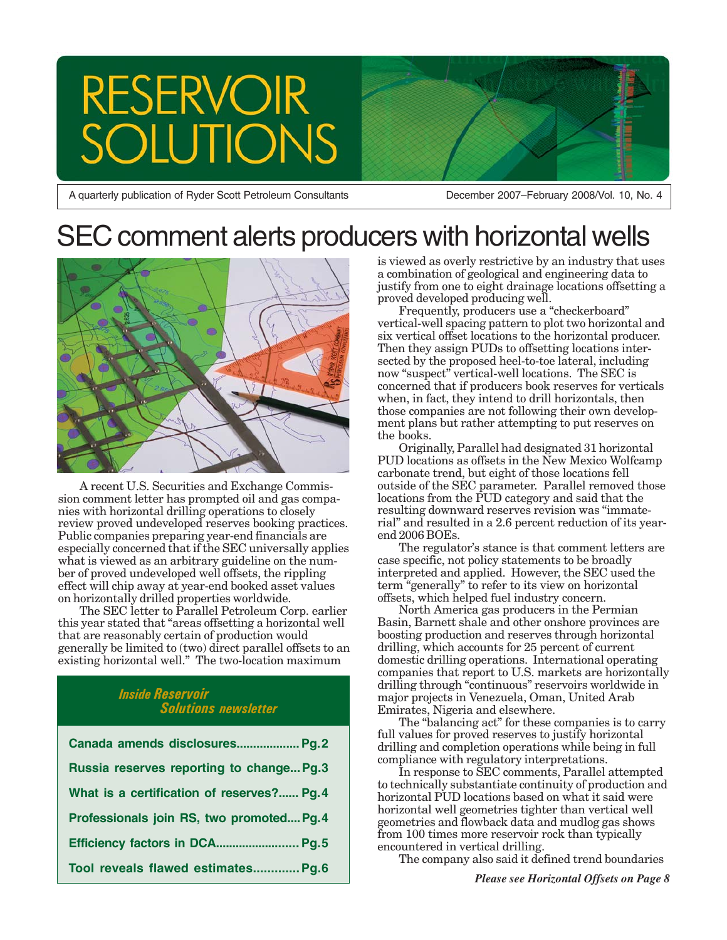# **RESERVOIR TONS**

A quarterly publication of Ryder Scott Petroleum Consultants

December 2007–February 2008/Vol. 10, No. 4

## SEC comment alerts producers with horizontal wells



A recent U.S. Securities and Exchange Commission comment letter has prompted oil and gas companies with horizontal drilling operations to closely review proved undeveloped reserves booking practices. Public companies preparing year-end financials are especially concerned that if the SEC universally applies what is viewed as an arbitrary guideline on the number of proved undeveloped well offsets, the rippling effect will chip away at year-end booked asset values on horizontally drilled properties worldwide.

The SEC letter to Parallel Petroleum Corp. earlier this year stated that "areas offsetting a horizontal well that are reasonably certain of production would generally be limited to (two) direct parallel offsets to an existing horizontal well." The two-location maximum

## *Inside Reservoir Solutions newsletter*

| Canada amends disclosures Pg.2             |
|--------------------------------------------|
| Russia reserves reporting to change Pg.3   |
| What is a certification of reserves? Pg. 4 |
| Professionals join RS, two promoted Pg. 4  |
|                                            |
| Tool reveals flawed estimates Pg.6         |

is viewed as overly restrictive by an industry that uses a combination of geological and engineering data to justify from one to eight drainage locations offsetting a proved developed producing well.

Frequently, producers use a "checkerboard" vertical-well spacing pattern to plot two horizontal and six vertical offset locations to the horizontal producer. Then they assign PUDs to offsetting locations intersected by the proposed heel-to-toe lateral, including now "suspect" vertical-well locations. The SEC is concerned that if producers book reserves for verticals when, in fact, they intend to drill horizontals, then those companies are not following their own development plans but rather attempting to put reserves on the books.

Originally, Parallel had designated 31 horizontal PUD locations as offsets in the New Mexico Wolfcamp carbonate trend, but eight of those locations fell outside of the SEC parameter. Parallel removed those locations from the PUD category and said that the resulting downward reserves revision was "immaterial" and resulted in a 2.6 percent reduction of its yearend 2006 BOEs.

The regulator's stance is that comment letters are case specific, not policy statements to be broadly interpreted and applied. However, the SEC used the term "generally" to refer to its view on horizontal offsets, which helped fuel industry concern.

North America gas producers in the Permian Basin, Barnett shale and other onshore provinces are boosting production and reserves through horizontal drilling, which accounts for 25 percent of current domestic drilling operations. International operating companies that report to U.S. markets are horizontally drilling through "continuous" reservoirs worldwide in major projects in Venezuela, Oman, United Arab Emirates, Nigeria and elsewhere.

The "balancing act" for these companies is to carry full values for proved reserves to justify horizontal drilling and completion operations while being in full compliance with regulatory interpretations.

In response to SEC comments, Parallel attempted to technically substantiate continuity of production and horizontal PUD locations based on what it said were horizontal well geometries tighter than vertical well geometries and flowback data and mudlog gas shows from 100 times more reservoir rock than typically encountered in vertical drilling.

The company also said it defined trend boundaries

*Please see Horizontal Offsets on Page 8*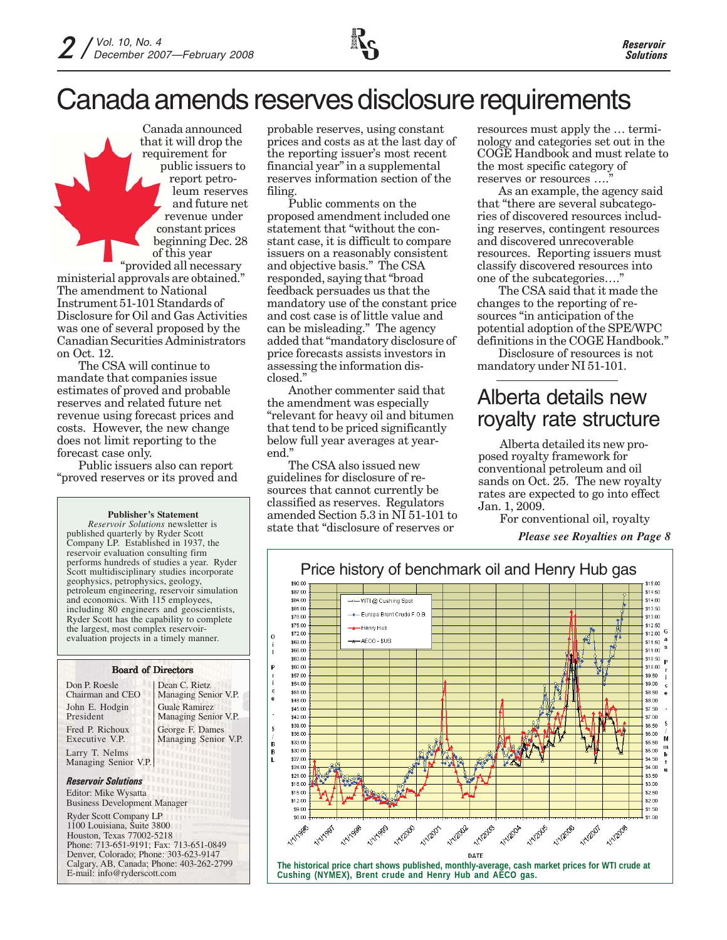

Canada announced that it will drop the requirement for public issuers to report petroleum reserves and future net revenue under constant prices beginning Dec. 28 of this year "provided all necessary ministerial approvals are obtained."

The amendment to National Instrument 51-101 Standards of Disclosure for Oil and Gas Activities was one of several proposed by the Canadian Securities Administrators on Oct. 12.

The CSA will continue to mandate that companies issue estimates of proved and probable reserves and related future net revenue using forecast prices and costs. However, the new change does not limit reporting to the forecast case only.

Public issuers also can report "proved reserves or its proved and

#### **Publisher's Statement**

*Reservoir Solutions* newsletter is published quarterly by Ryder Scott Company LP. Established in 1937, the reservoir evaluation consulting firm performs hundreds of studies a year. Ryder Scott multidisciplinary studies incorporate geophysics, petrophysics, geology, petroleum engineering, reservoir simulation and economics. With 115 employees, including 80 engineers and geoscientists, Ryder Scott has the capability to complete the largest, most complex reservoirevaluation projects in a timely manner.

#### Board of Directors

| Don P. Roesle                                                   | Dean C. Rietz               |
|-----------------------------------------------------------------|-----------------------------|
| Chairman and CEO                                                | Managing Senior V.P.        |
| John E. Hodgin                                                  | <b>Guale Ramirez</b>        |
| President                                                       | Managing Senior V.P.        |
| Fred P. Richoux                                                 | George F. Dames             |
| Executive V.P.                                                  | Managing Senior V.P.        |
| Larry T. Nelms                                                  | <b>LETT</b>                 |
| Managing Senior V.P.                                            | <b><i><u>UNIQUE</u></i></b> |
| <b>LITTLIBUS</b><br><b>Reservoir Solutions</b><br><b>Hillin</b> |                             |
| Editor: Mike Wysatta<br><b>Business Development Manager</b>     |                             |
| <b>Ryder Scott Company LP</b><br>1100 Louisiana, Suite 3800     |                             |

Houston, Texas 77002-5218 Phone: 713-651-9191; Fax: 713-651-0849 Denver, Colorado; Phone: 303-623-9147 Calgary, AB, Canada; Phone: 403-262-2799 E-mail: info@ryderscott.com

probable reserves, using constant prices and costs as at the last day of the reporting issuer's most recent financial year" in a supplemental reserves information section of the filing.

Public comments on the proposed amendment included one statement that "without the constant case, it is difficult to compare issuers on a reasonably consistent and objective basis." The CSA responded, saying that "broad feedback persuades us that the mandatory use of the constant price and cost case is of little value and can be misleading." The agency added that "mandatory disclosure of price forecasts assists investors in assessing the information disclosed."

Another commenter said that the amendment was especially "relevant for heavy oil and bitumen that tend to be priced significantly below full year averages at yearend."

The CSA also issued new guidelines for disclosure of resources that cannot currently be classified as reserves. Regulators amended Section 5.3 in NI 51-101 to state that "disclosure of reserves or

resources must apply the … terminology and categories set out in the COGE Handbook and must relate to the most specific category of reserves or resources ....

As an example, the agency said that "there are several subcategories of discovered resources including reserves, contingent resources and discovered unrecoverable resources. Reporting issuers must classify discovered resources into one of the subcategories…."

The CSA said that it made the changes to the reporting of resources "in anticipation of the potential adoption of the SPE/WPC definitions in the COGE Handbook."

Disclosure of resources is not mandatory under NI 51-101.

## Alberta details new royalty rate structure

Alberta detailed its new proposed royalty framework for conventional petroleum and oil sands on Oct. 25. The new royalty rates are expected to go into effect Jan. 1, 2009.

For conventional oil, royalty

*Please see Royalties on Page 8*

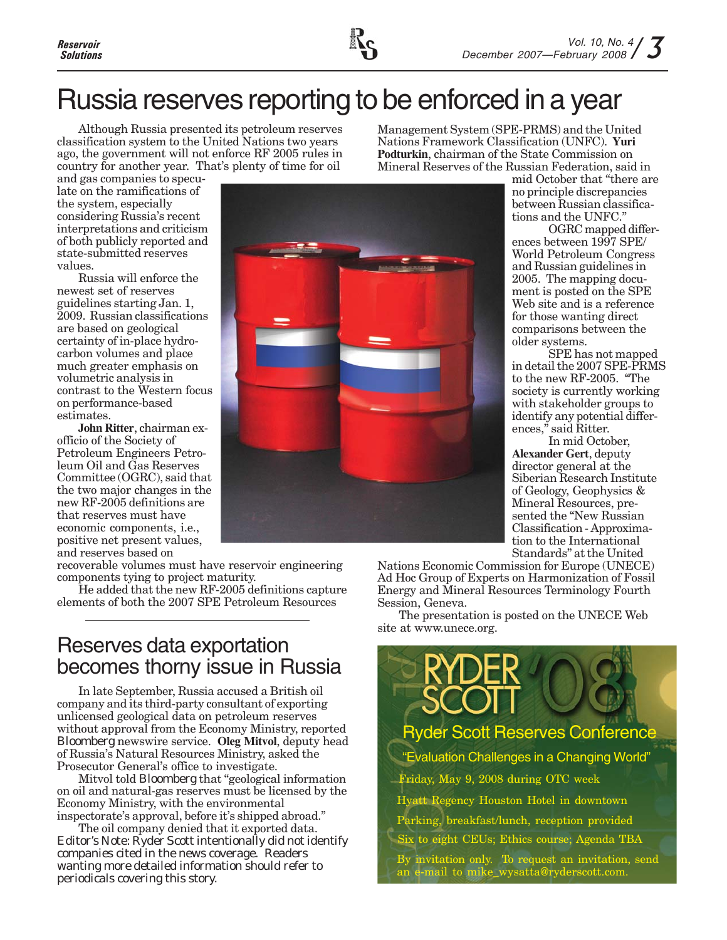## Russia reserves reporting to be enforced in a year

Although Russia presented its petroleum reserves classification system to the United Nations two years ago, the government will not enforce RF 2005 rules in country for another year. That's plenty of time for oil

Management System (SPE-PRMS) and the United Nations Framework Classification (UNFC). **Yuri Podturkin**, chairman of the State Commission on Mineral Reserves of the Russian Federation, said in

and gas companies to speculate on the ramifications of the system, especially considering Russia's recent interpretations and criticism of both publicly reported and state-submitted reserves values.

Russia will enforce the newest set of reserves guidelines starting Jan. 1, 2009. Russian classifications are based on geological certainty of in-place hydrocarbon volumes and place much greater emphasis on volumetric analysis in contrast to the Western focus on performance-based estimates.

**John Ritter**, chairman exofficio of the Society of Petroleum Engineers Petroleum Oil and Gas Reserves Committee (OGRC), said that the two major changes in the new RF-2005 definitions are that reserves must have economic components, i.e., positive net present values, and reserves based on

recoverable volumes must have reservoir engineering components tying to project maturity.

He added that the new RF-2005 definitions capture elements of both the 2007 SPE Petroleum Resources

## Reserves data exportation becomes thorny issue in Russia

In late September, Russia accused a British oil company and its third-party consultant of exporting unlicensed geological data on petroleum reserves without approval from the Economy Ministry, reported *Bloomberg* newswire service. **Oleg Mitvol**, deputy head of Russia's Natural Resources Ministry, asked the Prosecutor General's office to investigate.

Mitvol told *Bloomberg* that "geological information on oil and natural-gas reserves must be licensed by the Economy Ministry, with the environmental inspectorate's approval, before it's shipped abroad."

The oil company denied that it exported data. *Editor's Note: Ryder Scott intentionally did not identify companies cited in the news coverage. Readers wanting more detailed information should refer to periodicals covering this story.*



mid October that "there are

no principle discrepancies between Russian classifications and the UNFC."

OGRC mapped differences between 1997 SPE/ World Petroleum Congress and Russian guidelines in 2005. The mapping document is posted on the SPE Web site and is a reference for those wanting direct comparisons between the older systems.

SPE has not mapped in detail the 2007 SPE-PRMS to the new RF-2005. "The society is currently working with stakeholder groups to identify any potential differences," said Ritter.

In mid October, **Alexander Gert**, deputy director general at the Siberian Research Institute of Geology, Geophysics & Mineral Resources, presented the "New Russian Classification - Approximation to the International Standards" at the United

Nations Economic Commission for Europe (UNECE) Ad Hoc Group of Experts on Harmonization of Fossil Energy and Mineral Resources Terminology Fourth Session, Geneva.

The presentation is posted on the UNECE Web site at www.unece.org.

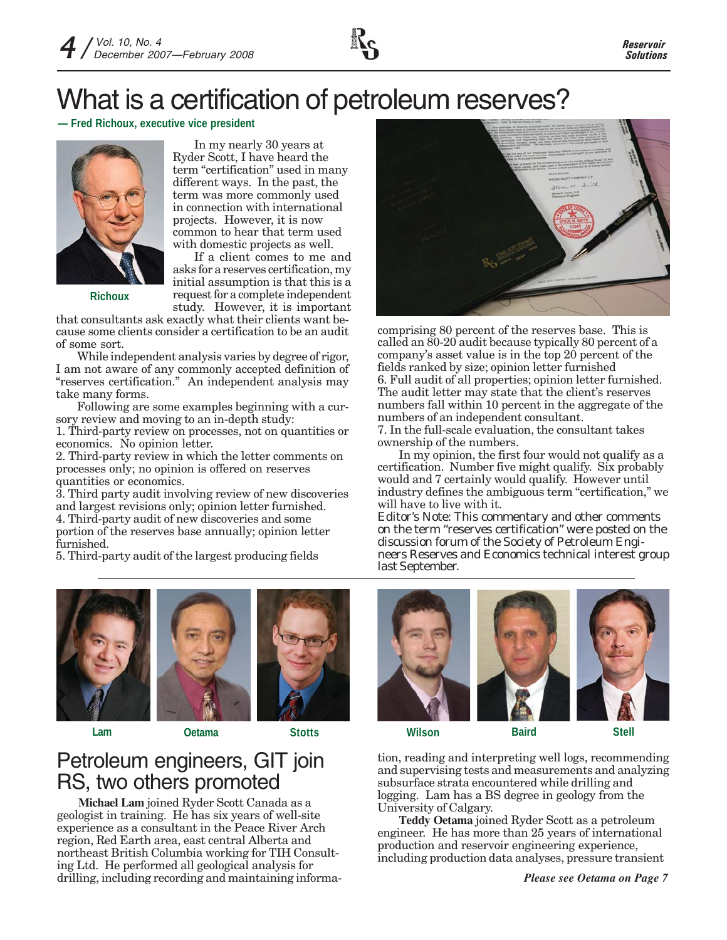

## What is a certification of petroleum reserves?

**— Fred Richoux, executive vice president**



**Richoux**

In my nearly 30 years at Ryder Scott, I have heard the term "certification" used in many different ways. In the past, the term was more commonly used in connection with international projects. However, it is now common to hear that term used with domestic projects as well.

If a client comes to me and asks for a reserves certification, my initial assumption is that this is a request for a complete independent study. However, it is important

that consultants ask exactly what their clients want because some clients consider a certification to be an audit of some sort.

While independent analysis varies by degree of rigor, I am not aware of any commonly accepted definition of "reserves certification." An independent analysis may take many forms.

Following are some examples beginning with a cursory review and moving to an in-depth study:

1. Third-party review on processes, not on quantities or economics. No opinion letter.

2. Third-party review in which the letter comments on processes only; no opinion is offered on reserves quantities or economics.

3. Third party audit involving review of new discoveries and largest revisions only; opinion letter furnished. 4. Third-party audit of new discoveries and some portion of the reserves base annually; opinion letter furnished.

5. Third-party audit of the largest producing fields



comprising 80 percent of the reserves base. This is called an 80-20 audit because typically 80 percent of a company's asset value is in the top 20 percent of the fields ranked by size; opinion letter furnished 6. Full audit of all properties; opinion letter furnished. The audit letter may state that the client's reserves numbers fall within 10 percent in the aggregate of the numbers of an independent consultant.

7. In the full-scale evaluation, the consultant takes ownership of the numbers.

In my opinion, the first four would not qualify as a certification. Number five might qualify. Six probably would and 7 certainly would qualify. However until industry defines the ambiguous term "certification," we will have to live with it.

*Editor's Note: This commentary and other comments on the term "reserves certification" were posted on the discussion forum of the Society of Petroleum Engineers Reserves and Economics technical interest group last September.*





**Michael Lam** joined Ryder Scott Canada as a geologist in training. He has six years of well-site experience as a consultant in the Peace River Arch region, Red Earth area, east central Alberta and northeast British Columbia working for TIH Consulting Ltd. He performed all geological analysis for drilling, including recording and maintaining informa-

Petroleum engineers, GIT join

RS, two others promoted



**Lam Oetama Stotts Wilson Baird Stell**

tion, reading and interpreting well logs, recommending and supervising tests and measurements and analyzing subsurface strata encountered while drilling and logging. Lam has a BS degree in geology from the University of Calgary.

**Teddy Oetama** joined Ryder Scott as a petroleum engineer. He has more than 25 years of international production and reservoir engineering experience, including production data analyses, pressure transient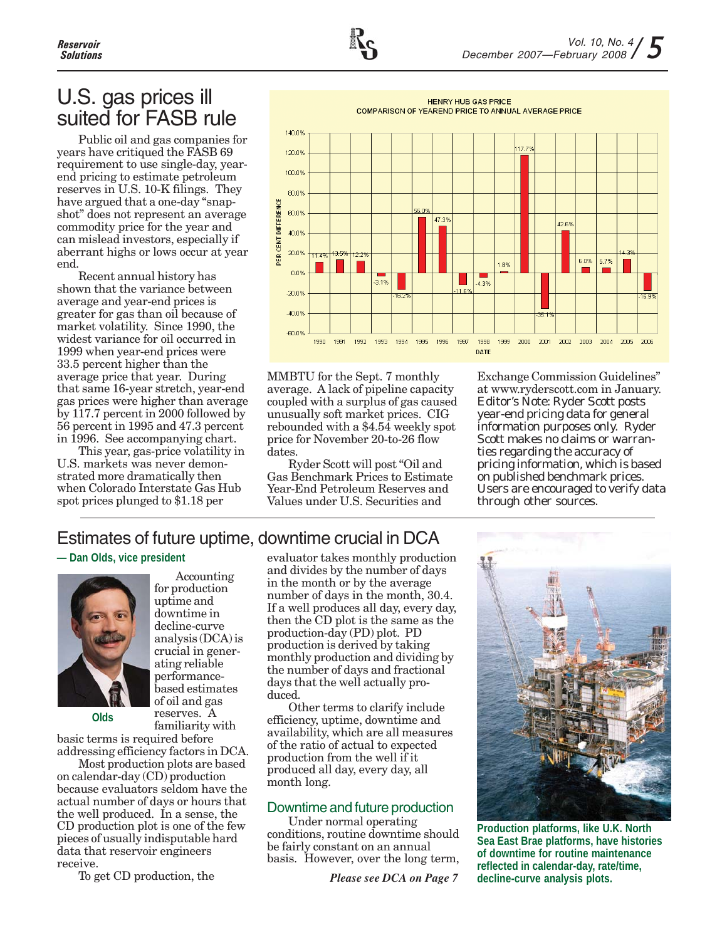## U.S. gas prices ill suited for FASB rule

Public oil and gas companies for years have critiqued the FASB 69 requirement to use single-day, yearend pricing to estimate petroleum reserves in U.S. 10-K filings. They have argued that a one-day "snapshot" does not represent an average commodity price for the year and can mislead investors, especially if aberrant highs or lows occur at year end.

Recent annual history has shown that the variance between average and year-end prices is greater for gas than oil because of market volatility. Since 1990, the widest variance for oil occurred in 1999 when year-end prices were 33.5 percent higher than the average price that year. During that same 16-year stretch, year-end gas prices were higher than average by 117.7 percent in 2000 followed by 56 percent in 1995 and 47.3 percent in 1996. See accompanying chart.

This year, gas-price volatility in U.S. markets was never demonstrated more dramatically then when Colorado Interstate Gas Hub spot prices plunged to \$1.18 per

**HENRY HUB GAS PRICE** COMPARISON OF YEAREND PRICE TO ANNUAL AVERAGE PRICE 140.0% 120.0% 100.0% 80.0% PER CENT DIFFERENCE 56.09 60.0% 47.39  $42.69$ 40.0% 20.0% 11.4% 13.5% 12.2% 6.0% 5.7% 8% 0.0%  $-3.1%$  $-4.3%$  $11<sub>5</sub>$  $-20.0%$ 16.9%  $-40.0%$ -60.0% 1990 1991 1992 1993 1994 1995 1996 1997 1998 1999 2000 2001 2002 2003 2004 2005 2006 DATE

MMBTU for the Sept. 7 monthly average. A lack of pipeline capacity coupled with a surplus of gas caused unusually soft market prices. CIG rebounded with a \$4.54 weekly spot price for November 20-to-26 flow dates.

Ryder Scott will post "Oil and Gas Benchmark Prices to Estimate Year-End Petroleum Reserves and Values under U.S. Securities and

Exchange Commission Guidelines" at www.ryderscott.com in January. *Editor's Note: Ryder Scott posts year-end pricing data for general information purposes only. Ryder Scott makes no claims or warranties regarding the accuracy of pricing information, which is based on published benchmark prices. Users are encouraged to verify data through other sources.*

## Estimates of future uptime, downtime crucial in DCA

## **— Dan Olds, vice president**



Accounting for production uptime and downtime in decline-curve analysis (DCA) is crucial in generating reliable performancebased estimates of oil and gas reserves. A familiarity with

basic terms is required before

addressing efficiency factors in DCA. Most production plots are based on calendar-day (CD) production because evaluators seldom have the actual number of days or hours that the well produced. In a sense, the CD production plot is one of the few pieces of usually indisputable hard data that reservoir engineers receive.

To get CD production, the

evaluator takes monthly production and divides by the number of days in the month or by the average number of days in the month, 30.4. If a well produces all day, every day, then the CD plot is the same as the production-day (PD) plot. PD production is derived by taking monthly production and dividing by the number of days and fractional days that the well actually produced.

Other terms to clarify include efficiency, uptime, downtime and availability, which are all measures of the ratio of actual to expected production from the well if it produced all day, every day, all month long.

## Downtime and future production

Under normal operating conditions, routine downtime should be fairly constant on an annual basis. However, over the long term,

*Please see DCA on Page 7*



**Production platforms, like U.K. North Sea East Brae platforms, have histories of downtime for routine maintenance reflected in calendar-day, rate/time, decline-curve analysis plots.**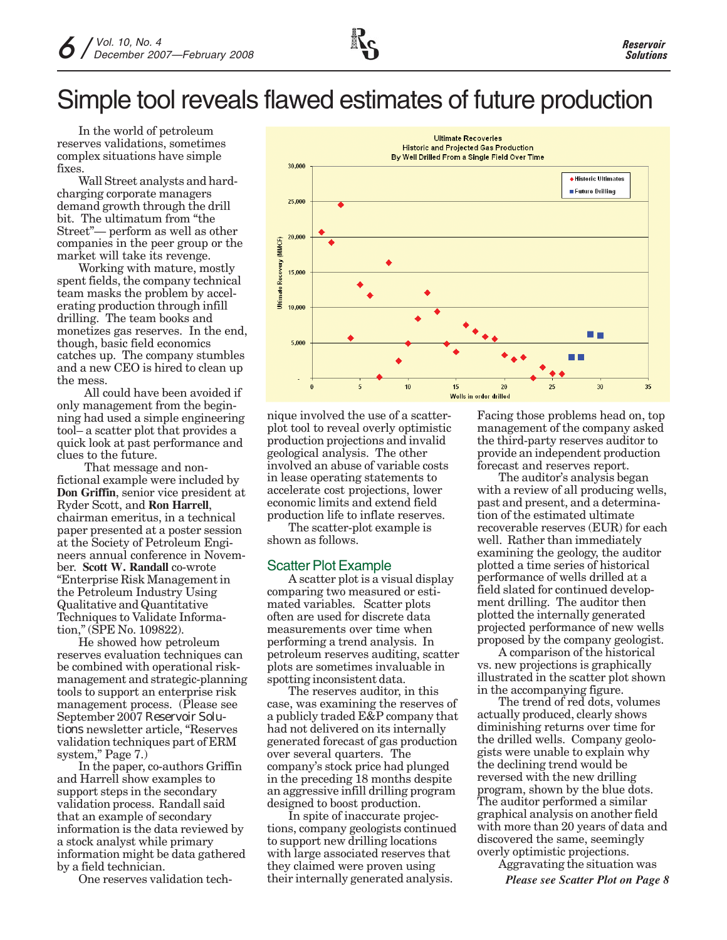In the world of petroleum reserves validations, sometimes complex situations have simple fixes.

Wall Street analysts and hardcharging corporate managers demand growth through the drill bit. The ultimatum from "the Street"— perform as well as other companies in the peer group or the market will take its revenge.

Working with mature, mostly spent fields, the company technical team masks the problem by accelerating production through infill drilling. The team books and monetizes gas reserves. In the end, though, basic field economics catches up. The company stumbles and a new CEO is hired to clean up the mess.

 All could have been avoided if only management from the beginning had used a simple engineering tool– a scatter plot that provides a quick look at past performance and clues to the future.

 That message and nonfictional example were included by **Don Griffin**, senior vice president at Ryder Scott, and **Ron Harrell**, chairman emeritus, in a technical paper presented at a poster session at the Society of Petroleum Engineers annual conference in November. **Scott W. Randall** co-wrote "Enterprise Risk Management in the Petroleum Industry Using Qualitative and Quantitative Techniques to Validate Information," (SPE No. 109822).

He showed how petroleum reserves evaluation techniques can be combined with operational riskmanagement and strategic-planning tools to support an enterprise risk management process. (Please see September 2007 *Reservoir Solutions* newsletter article, "Reserves validation techniques part of ERM system," Page 7.)

In the paper, co-authors Griffin and Harrell show examples to support steps in the secondary validation process. Randall said that an example of secondary information is the data reviewed by a stock analyst while primary information might be data gathered by a field technician.

One reserves validation tech-



nique involved the use of a scatterplot tool to reveal overly optimistic production projections and invalid geological analysis. The other involved an abuse of variable costs in lease operating statements to accelerate cost projections, lower economic limits and extend field production life to inflate reserves.

The scatter-plot example is shown as follows.

## Scatter Plot Example

A scatter plot is a visual display comparing two measured or estimated variables. Scatter plots often are used for discrete data measurements over time when performing a trend analysis. In petroleum reserves auditing, scatter plots are sometimes invaluable in spotting inconsistent data.

The reserves auditor, in this case, was examining the reserves of a publicly traded E&P company that had not delivered on its internally generated forecast of gas production over several quarters. The company's stock price had plunged in the preceding 18 months despite an aggressive infill drilling program designed to boost production.

In spite of inaccurate projections, company geologists continued to support new drilling locations with large associated reserves that they claimed were proven using their internally generated analysis.

Facing those problems head on, top management of the company asked the third-party reserves auditor to provide an independent production forecast and reserves report.

The auditor's analysis began with a review of all producing wells, past and present, and a determination of the estimated ultimate recoverable reserves (EUR) for each well. Rather than immediately examining the geology, the auditor plotted a time series of historical performance of wells drilled at a field slated for continued development drilling. The auditor then plotted the internally generated projected performance of new wells proposed by the company geologist.

A comparison of the historical vs. new projections is graphically illustrated in the scatter plot shown in the accompanying figure.

The trend of red dots, volumes actually produced, clearly shows diminishing returns over time for the drilled wells. Company geologists were unable to explain why the declining trend would be reversed with the new drilling program, shown by the blue dots. The auditor performed a similar graphical analysis on another field with more than 20 years of data and discovered the same, seemingly overly optimistic projections.

Aggravating the situation was

*Please see Scatter Plot on Page 8*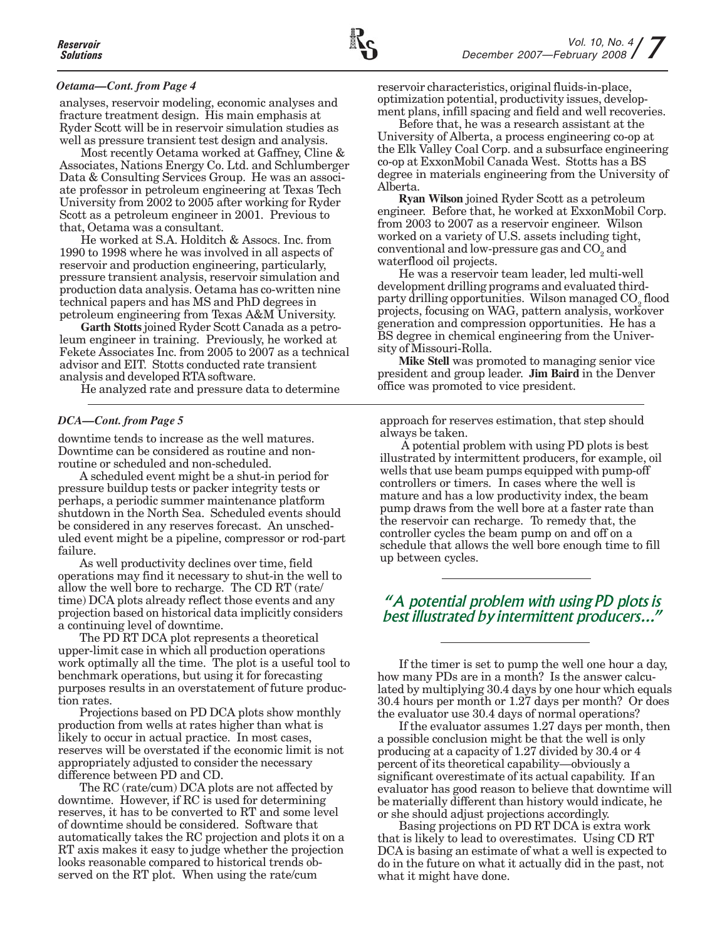### *Oetama—Cont. from Page 4*

analyses, reservoir modeling, economic analyses and fracture treatment design. His main emphasis at Ryder Scott will be in reservoir simulation studies as well as pressure transient test design and analysis.

Most recently Oetama worked at Gaffney, Cline & Associates, Nations Energy Co. Ltd. and Schlumberger Data & Consulting Services Group. He was an associate professor in petroleum engineering at Texas Tech University from 2002 to 2005 after working for Ryder Scott as a petroleum engineer in 2001. Previous to that, Oetama was a consultant.

He worked at S.A. Holditch & Assocs. Inc. from 1990 to 1998 where he was involved in all aspects of reservoir and production engineering, particularly, pressure transient analysis, reservoir simulation and production data analysis. Oetama has co-written nine technical papers and has MS and PhD degrees in petroleum engineering from Texas A&M University.

**Garth Stotts** joined Ryder Scott Canada as a petroleum engineer in training. Previously, he worked at Fekete Associates Inc. from 2005 to 2007 as a technical advisor and EIT. Stotts conducted rate transient analysis and developed RTA software.

He analyzed rate and pressure data to determine

#### *DCA—Cont. from Page 5*

downtime tends to increase as the well matures. Downtime can be considered as routine and nonroutine or scheduled and non-scheduled.

A scheduled event might be a shut-in period for pressure buildup tests or packer integrity tests or perhaps, a periodic summer maintenance platform shutdown in the North Sea. Scheduled events should be considered in any reserves forecast. An unscheduled event might be a pipeline, compressor or rod-part failure.

As well productivity declines over time, field operations may find it necessary to shut-in the well to allow the well bore to recharge. The CD RT (rate/ time) DCA plots already reflect those events and any projection based on historical data implicitly considers a continuing level of downtime.

The PD RT DCA plot represents a theoretical upper-limit case in which all production operations work optimally all the time. The plot is a useful tool to benchmark operations, but using it for forecasting purposes results in an overstatement of future production rates.

Projections based on PD DCA plots show monthly production from wells at rates higher than what is likely to occur in actual practice. In most cases, reserves will be overstated if the economic limit is not appropriately adjusted to consider the necessary difference between PD and CD.

The RC (rate/cum) DCA plots are not affected by downtime. However, if RC is used for determining reserves, it has to be converted to RT and some level of downtime should be considered. Software that automatically takes the RC projection and plots it on a RT axis makes it easy to judge whether the projection looks reasonable compared to historical trends observed on the RT plot. When using the rate/cum

reservoir characteristics, original fluids-in-place, optimization potential, productivity issues, development plans, infill spacing and field and well recoveries.

Before that, he was a research assistant at the University of Alberta, a process engineering co-op at the Elk Valley Coal Corp. and a subsurface engineering co-op at ExxonMobil Canada West. Stotts has a BS degree in materials engineering from the University of Alberta.

**Ryan Wilson** joined Ryder Scott as a petroleum engineer. Before that, he worked at ExxonMobil Corp. from 2003 to 2007 as a reservoir engineer. Wilson worked on a variety of U.S. assets including tight, conventional and low-pressure gas and  $\mathrm{CO}_2^{}$  and waterflood oil projects.

He was a reservoir team leader, led multi-well development drilling programs and evaluated thirdparty drilling opportunities. Wilson managed  $\mathrm{CO}_2^{}$  flood projects, focusing on WAG, pattern analysis, workover generation and compression opportunities. He has a BS degree in chemical engineering from the University of Missouri-Rolla.

**Mike Stell** was promoted to managing senior vice president and group leader. **Jim Baird** in the Denver office was promoted to vice president.

approach for reserves estimation, that step should always be taken.

A potential problem with using PD plots is best illustrated by intermittent producers, for example, oil wells that use beam pumps equipped with pump-off controllers or timers. In cases where the well is mature and has a low productivity index, the beam pump draws from the well bore at a faster rate than the reservoir can recharge. To remedy that, the controller cycles the beam pump on and off on a schedule that allows the well bore enough time to fill up between cycles.

## *"A potential problem with using PD plots is best illustrated by intermittent producers..."*

If the timer is set to pump the well one hour a day, how many PDs are in a month? Is the answer calculated by multiplying 30.4 days by one hour which equals 30.4 hours per month or 1.27 days per month? Or does the evaluator use 30.4 days of normal operations?

If the evaluator assumes 1.27 days per month, then a possible conclusion might be that the well is only producing at a capacity of 1.27 divided by 30.4 or 4 percent of its theoretical capability—obviously a significant overestimate of its actual capability. If an evaluator has good reason to believe that downtime will be materially different than history would indicate, he or she should adjust projections accordingly.

Basing projections on PD RT DCA is extra work that is likely to lead to overestimates. Using CD RT DCA is basing an estimate of what a well is expected to do in the future on what it actually did in the past, not what it might have done.